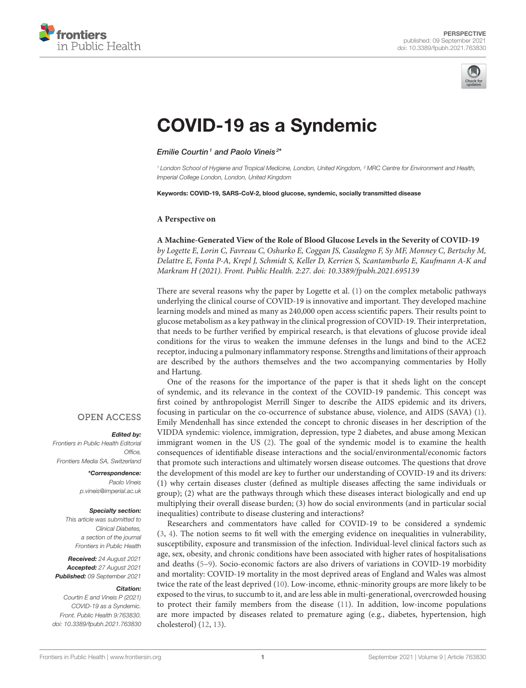



# [COVID-19 as a Syndemic](https://www.frontiersin.org/articles/10.3389/fpubh.2021.763830/full)

Emilie Courtin<sup>1</sup> and Paolo Vineis<sup>2\*</sup>

*<sup>1</sup> London School of Hygiene and Tropical Medicine, London, United Kingdom, <sup>2</sup> MRC Centre for Environment and Health, Imperial College London, London, United Kingdom*

Keywords: COVID-19, SARS-CoV-2, blood glucose, syndemic, socially transmitted disease

#### **A Perspective on**

#### **[A Machine-Generated View of the Role of Blood Glucose Levels in the Severity of COVID-19](https://doi.org/10.3389/fpubh.2021.695139)**

by Logette E, Lorin C, Favreau C, Oshurko E, Coggan JS, Casalegno F, Sy MF, Monney C, Bertschy M, Delattre E, Fonta P-A, Krepl J, Schmidt S, Keller D, Kerrien S, Scantamburlo E, Kaufmann A-K and Markram H (2021). Front. Public Health. 2:27. doi: [10.3389/fpubh.2021.695139](https://doi.org/10.3389/fpubh.2021.695139)

There are several reasons why the paper by Logette et al. [\(1\)](#page-1-0) on the complex metabolic pathways underlying the clinical course of COVID-19 is innovative and important. They developed machine learning models and mined as many as 240,000 open access scientific papers. Their results point to glucose metabolism as a key pathway in the clinical progression of COVID-19. Their interpretation, that needs to be further verified by empirical research, is that elevations of glucose provide ideal conditions for the virus to weaken the immune defenses in the lungs and bind to the ACE2 receptor, inducing a pulmonary inflammatory response. Strengths and limitations of their approach are described by the authors themselves and the two accompanying commentaries by Holly and Hartung.

One of the reasons for the importance of the paper is that it sheds light on the concept of syndemic, and its relevance in the context of the COVID-19 pandemic. This concept was first coined by anthropologist Merrill Singer to describe the AIDS epidemic and its drivers, focusing in particular on the co-occurrence of substance abuse, violence, and AIDS (SAVA) [\(1\)](#page-1-0). Emily Mendenhall has since extended the concept to chronic diseases in her description of the VIDDA syndemic: violence, immigration, depression, type 2 diabetes, and abuse among Mexican immigrant women in the US [\(2\)](#page-1-1). The goal of the syndemic model is to examine the health consequences of identifiable disease interactions and the social/environmental/economic factors that promote such interactions and ultimately worsen disease outcomes. The questions that drove the development of this model are key to further our understanding of COVID-19 and its drivers: (1) why certain diseases cluster (defined as multiple diseases affecting the same individuals or group); (2) what are the pathways through which these diseases interact biologically and end up multiplying their overall disease burden; (3) how do social environments (and in particular social inequalities) contribute to disease clustering and interactions?

Researchers and commentators have called for COVID-19 to be considered a syndemic [\(3,](#page-1-2) [4\)](#page-1-3). The notion seems to fit well with the emerging evidence on inequalities in vulnerability, susceptibility, exposure and transmission of the infection. Individual-level clinical factors such as age, sex, obesity, and chronic conditions have been associated with higher rates of hospitalisations and deaths [\(5–](#page-2-0)[9\)](#page-2-1). Socio-economic factors are also drivers of variations in COVID-19 morbidity and mortality: COVID-19 mortality in the most deprived areas of England and Wales was almost twice the rate of the least deprived [\(10\)](#page-2-2). Low-income, ethnic-minority groups are more likely to be exposed to the virus, to succumb to it, and are less able in multi-generational, overcrowded housing to protect their family members from the disease [\(11\)](#page-2-3). In addition, low-income populations are more impacted by diseases related to premature aging (e.g., diabetes, hypertension, high cholesterol) [\(12,](#page-2-4) [13\)](#page-2-5).

### **OPEN ACCESS**

#### Edited by:

*Frontiers in Public Health Editorial Office, Frontiers Media SA, Switzerland*

> \*Correspondence: *Paolo Vineis [p.vineis@imperial.ac.uk](mailto:p.vineis@imperial.ac.uk)*

#### Specialty section:

*This article was submitted to Clinical Diabetes, a section of the journal Frontiers in Public Health*

Received: *24 August 2021* Accepted: *27 August 2021* Published: *09 September 2021*

#### Citation:

*Courtin E and Vineis P (2021) COVID-19 as a Syndemic. Front. Public Health 9:763830. doi: [10.3389/fpubh.2021.763830](https://doi.org/10.3389/fpubh.2021.763830)*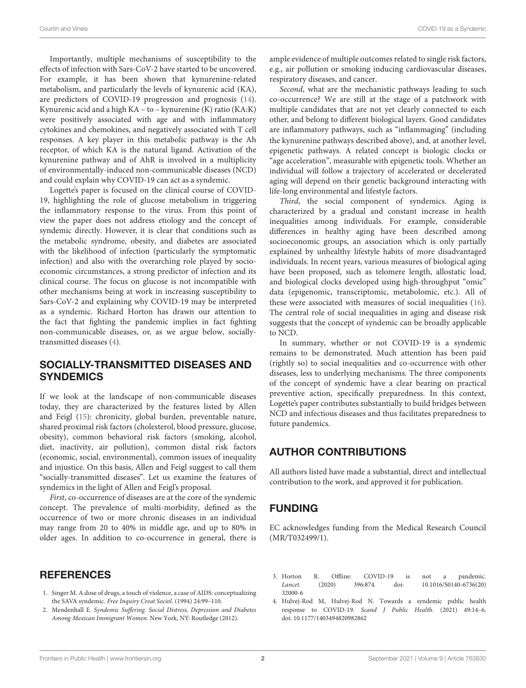Importantly, multiple mechanisms of susceptibility to the effects of infection with Sars-CoV-2 have started to be uncovered. For example, it has been shown that kynurenine-related metabolism, and particularly the levels of kynurenic acid (KA), are predictors of COVID-19 progression and prognosis [\(14\)](#page-2-6). Kynurenic acid and a high KA – to – kynurenine (K) ratio (KA:K) were positively associated with age and with inflammatory cytokines and chemokines, and negatively associated with T cell responses. A key player in this metabolic pathway is the Ah receptor, of which KA is the natural ligand. Activation of the kynurenine pathway and of AhR is involved in a multiplicity of environmentally-induced non-communicable diseases (NCD) and could explain why COVID-19 can act as a syndemic.

Logette's paper is focused on the clinical course of COVID-19, highlighting the role of glucose metabolism in triggering the inflammatory response to the virus. From this point of view the paper does not address etiology and the concept of syndemic directly. However, it is clear that conditions such as the metabolic syndrome, obesity, and diabetes are associated with the likelihood of infection (particularly the symptomatic infection) and also with the overarching role played by socioeconomic circumstances, a strong predictor of infection and its clinical course. The focus on glucose is not incompatible with other mechanisms being at work in increasing susceptibility to Sars-CoV-2 and explaining why COVID-19 may be interpreted as a syndemic. Richard Horton has drawn our attention to the fact that fighting the pandemic implies in fact fighting non-communicable diseases, or, as we argue below, sociallytransmitted diseases [\(4\)](#page-1-3).

## SOCIALLY-TRANSMITTED DISEASES AND **SYNDEMICS**

If we look at the landscape of non-communicable diseases today, they are characterized by the features listed by Allen and Feigl [\(15\)](#page-2-7): chronicity, global burden, preventable nature, shared proximal risk factors (cholesterol, blood pressure, glucose, obesity), common behavioral risk factors (smoking, alcohol, diet, inactivity, air pollution), common distal risk factors (economic, social, environmental), common issues of inequality and injustice. On this basis, Allen and Feigl suggest to call them "socially-transmitted diseases". Let us examine the features of syndemics in the light of Allen and Feigl's proposal.

First, co-occurrence of diseases are at the core of the syndemic concept. The prevalence of multi-morbidity, defined as the occurrence of two or more chronic diseases in an individual may range from 20 to 40% in middle age, and up to 80% in older ages. In addition to co-occurrence in general, there is

## REFERENCES

- <span id="page-1-0"></span>1. Singer M. A dose of drugs, a touch of violence, a case of AIDS: conceptualizing the SAVA syndemic. Free Inquiry Creat Sociol. (1994) 24:99–110.
- <span id="page-1-1"></span>2. Mendenhall E. Syndemic Suffering. Social Distress, Depression and Diabetes Among Mexican Immigrant Women. New York, NY: Routledge (2012).

ample evidence of multiple outcomes related to single risk factors, e.g., air pollution or smoking inducing cardiovascular diseases, respiratory diseases, and cancer.

Second, what are the mechanistic pathways leading to such co-occurrence? We are still at the stage of a patchwork with multiple candidates that are not yet clearly connected to each other, and belong to different biological layers. Good candidates are inflammatory pathways, such as "inflammaging" (including the kynurenine pathways described above), and, at another level, epigenetic pathways. A related concept is biologic clocks or "age acceleration", measurable with epigenetic tools. Whether an individual will follow a trajectory of accelerated or decelerated aging will depend on their genetic background interacting with life-long environmental and lifestyle factors.

Third, the social component of syndemics. Aging is characterized by a gradual and constant increase in health inequalities among individuals. For example, considerable differences in healthy aging have been described among socioeconomic groups, an association which is only partially explained by unhealthy lifestyle habits of more disadvantaged individuals. In recent years, various measures of biological aging have been proposed, such as telomere length, allostatic load, and biological clocks developed using high-throughput "omic" data (epigenomic, transcriptomic, metabolomic, etc.). All of these were associated with measures of social inequalities [\(16\)](#page-2-8). The central role of social inequalities in aging and disease risk suggests that the concept of syndemic can be broadly applicable to NCD.

In summary, whether or not COVID-19 is a syndemic remains to be demonstrated. Much attention has been paid (rightly so) to social inequalities and co-occurrence with other diseases, less to underlying mechanisms. The three components of the concept of syndemic have a clear bearing on practical preventive action, specifically preparedness. In this context, Logette's paper contributes substantially to build bridges between NCD and infectious diseases and thus facilitates preparedness to future pandemics.

# AUTHOR CONTRIBUTIONS

All authors listed have made a substantial, direct and intellectual contribution to the work, and approved it for publication.

# FUNDING

EC acknowledges funding from the Medical Research Council (MR/T032499/1).

- <span id="page-1-2"></span>3. Horton R. Offline: COVID-19 is not a pandemic.<br>
Lancet. (2020) 396:874. doi: 10.1016/S0140-6736(20) Lancet. [\(2020\) 396:874. doi: 10.1016/S0140-6736\(20\)](https://doi.org/10.1016/S0140-6736(20)32000-6) 32000-6
- <span id="page-1-3"></span>4. Hulvej-Rod M, Hulvej-Rod N. Towards a syndemic public health response to COVID-19. Scand J Public Health. (2021) 49:14–6. doi: [10.1177/1403494820982862](https://doi.org/10.1177/1403494820982862)